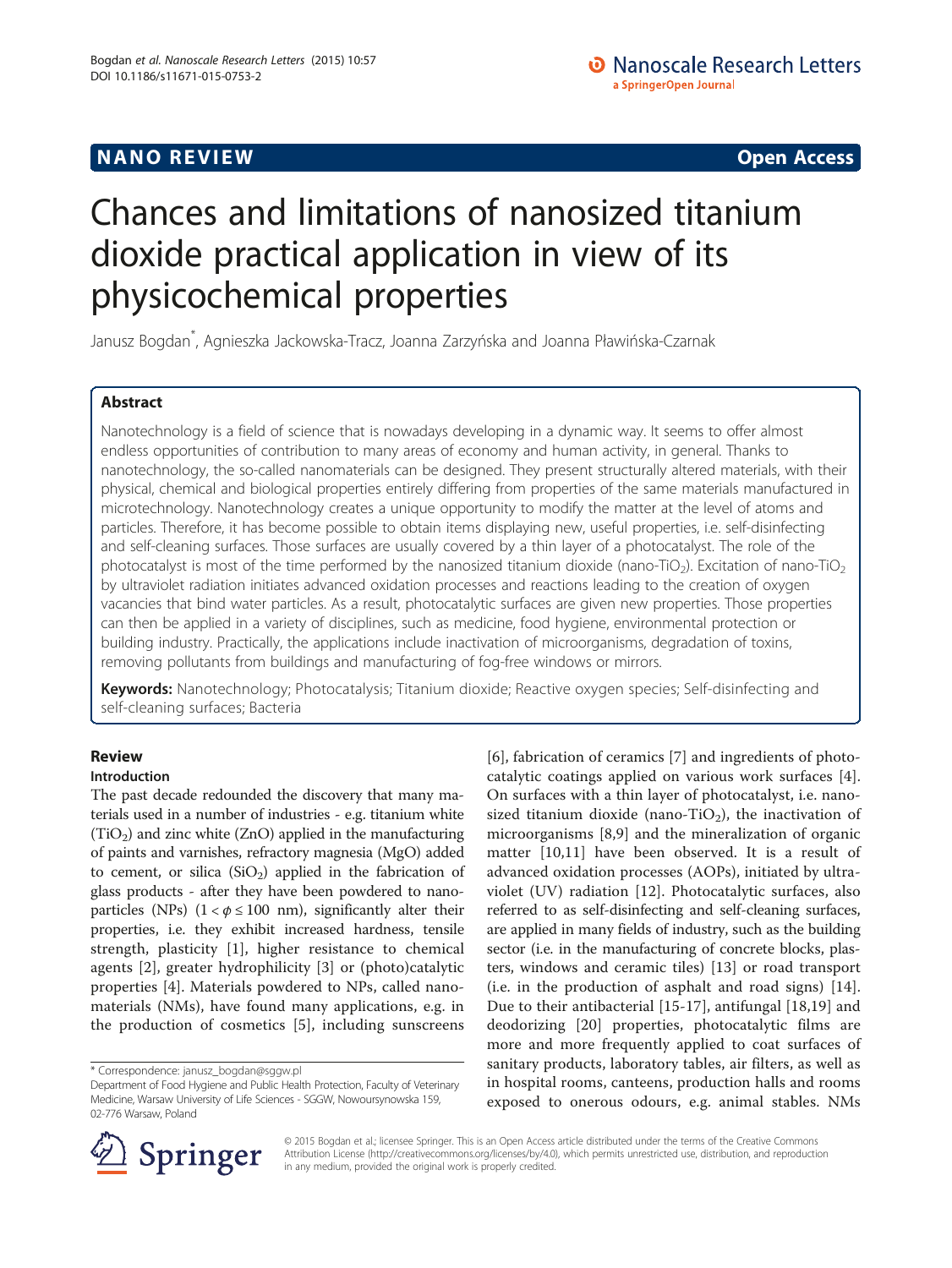# Chances and limitations of nanosized titanium dioxide practical application in view of its physicochemical properties

Janusz Bogdan\* , Agnieszka Jackowska-Tracz, Joanna Zarzyńska and Joanna Pławińska-Czarnak

# **Abstract**

Nanotechnology is a field of science that is nowadays developing in a dynamic way. It seems to offer almost endless opportunities of contribution to many areas of economy and human activity, in general. Thanks to nanotechnology, the so-called nanomaterials can be designed. They present structurally altered materials, with their physical, chemical and biological properties entirely differing from properties of the same materials manufactured in microtechnology. Nanotechnology creates a unique opportunity to modify the matter at the level of atoms and particles. Therefore, it has become possible to obtain items displaying new, useful properties, i.e. self-disinfecting and self-cleaning surfaces. Those surfaces are usually covered by a thin layer of a photocatalyst. The role of the photocatalyst is most of the time performed by the nanosized titanium dioxide (nano-TiO<sub>2</sub>). Excitation of nano-TiO<sub>2</sub> by ultraviolet radiation initiates advanced oxidation processes and reactions leading to the creation of oxygen vacancies that bind water particles. As a result, photocatalytic surfaces are given new properties. Those properties can then be applied in a variety of disciplines, such as medicine, food hygiene, environmental protection or building industry. Practically, the applications include inactivation of microorganisms, degradation of toxins, removing pollutants from buildings and manufacturing of fog-free windows or mirrors.

Keywords: Nanotechnology; Photocatalysis; Titanium dioxide; Reactive oxygen species; Self-disinfecting and self-cleaning surfaces; Bacteria

# **Review**

# Introduction

The past decade redounded the discovery that many materials used in a number of industries - e.g. titanium white  $(TiO<sub>2</sub>)$  and zinc white (ZnO) applied in the manufacturing of paints and varnishes, refractory magnesia (MgO) added to cement, or silica  $(SiO<sub>2</sub>)$  applied in the fabrication of glass products - after they have been powdered to nanoparticles (NPs)  $(1 < \phi \le 100 \text{ nm})$ , significantly alter their properties, i.e. they exhibit increased hardness, tensile strength, plasticity [[1](#page-6-0)], higher resistance to chemical agents [[2](#page-6-0)], greater hydrophilicity [\[3](#page-6-0)] or (photo)catalytic properties [\[4](#page-6-0)]. Materials powdered to NPs, called nanomaterials (NMs), have found many applications, e.g. in the production of cosmetics [[5\]](#page-6-0), including sunscreens

[[6\]](#page-6-0), fabrication of ceramics [[7\]](#page-6-0) and ingredients of photocatalytic coatings applied on various work surfaces [\[4](#page-6-0)]. On surfaces with a thin layer of photocatalyst, i.e. nanosized titanium dioxide (nano-TiO<sub>2</sub>), the inactivation of microorganisms [\[8](#page-6-0),[9\]](#page-6-0) and the mineralization of organic matter [\[10,11](#page-6-0)] have been observed. It is a result of advanced oxidation processes (AOPs), initiated by ultraviolet (UV) radiation [[12\]](#page-6-0). Photocatalytic surfaces, also referred to as self-disinfecting and self-cleaning surfaces, are applied in many fields of industry, such as the building sector (i.e. in the manufacturing of concrete blocks, plasters, windows and ceramic tiles) [[13](#page-6-0)] or road transport (i.e. in the production of asphalt and road signs) [\[14](#page-7-0)]. Due to their antibacterial [[15-17](#page-7-0)], antifungal [[18,19](#page-7-0)] and deodorizing [[20\]](#page-7-0) properties, photocatalytic films are more and more frequently applied to coat surfaces of sanitary products, laboratory tables, air filters, as well as in hospital rooms, canteens, production halls and rooms exposed to onerous odours, e.g. animal stables. NMs



© 2015 Bogdan et al.; licensee Springer. This is an Open Access article distributed under the terms of the Creative Commons Attribution License [\(http://creativecommons.org/licenses/by/4.0\)](http://creativecommons.org/licenses/by/4.0), which permits unrestricted use, distribution, and reproduction in any medium, provided the original work is properly credited.

<sup>\*</sup> Correspondence: [janusz\\_bogdan@sggw.pl](mailto:janusz_bogdan@sggw.pl)

Department of Food Hygiene and Public Health Protection, Faculty of Veterinary Medicine, Warsaw University of Life Sciences - SGGW, Nowoursynowska 159, 02-776 Warsaw, Poland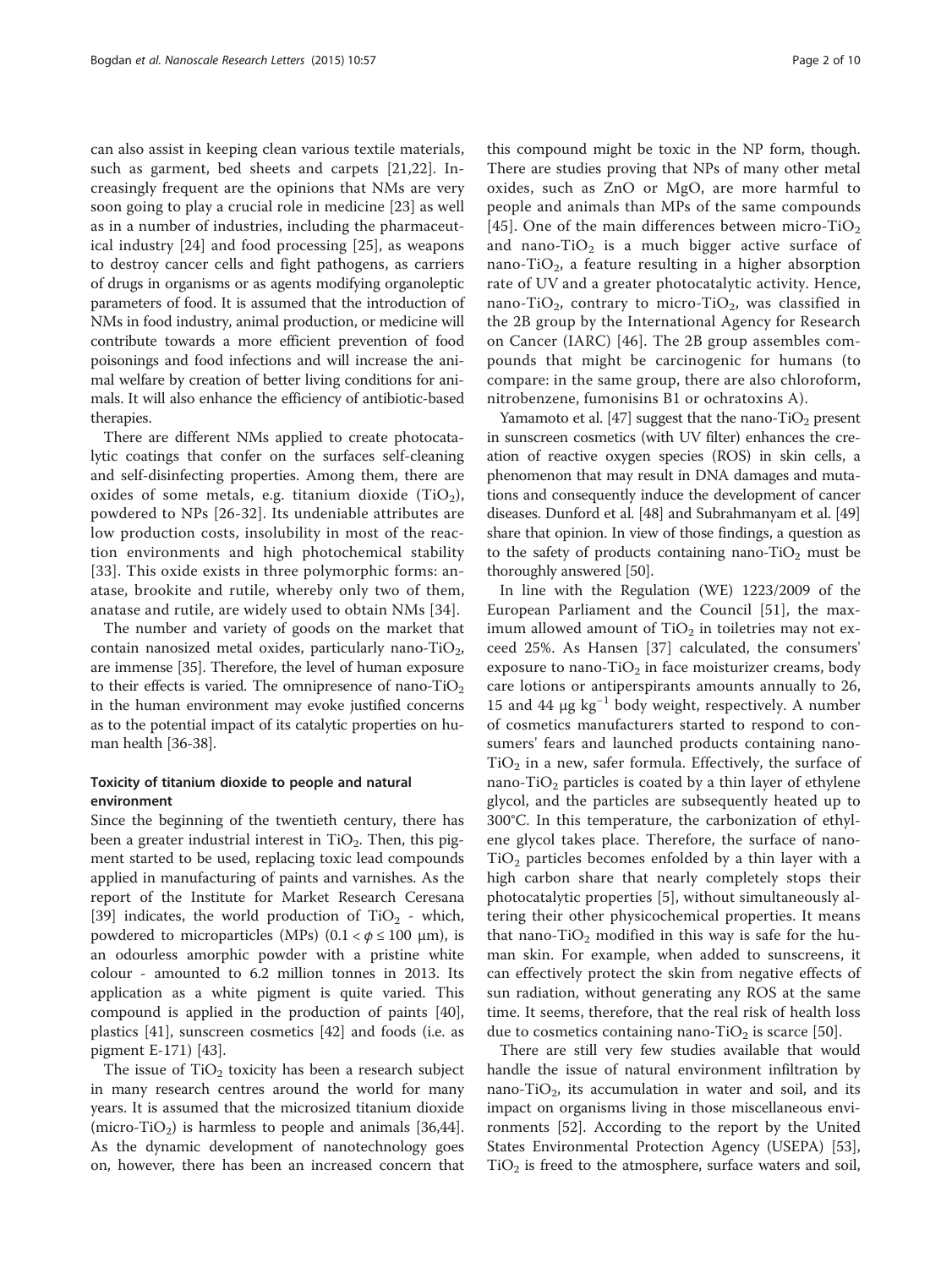can also assist in keeping clean various textile materials, such as garment, bed sheets and carpets [\[21](#page-7-0),[22\]](#page-7-0). Increasingly frequent are the opinions that NMs are very soon going to play a crucial role in medicine [[23\]](#page-7-0) as well as in a number of industries, including the pharmaceutical industry [\[24](#page-7-0)] and food processing [[25\]](#page-7-0), as weapons to destroy cancer cells and fight pathogens, as carriers of drugs in organisms or as agents modifying organoleptic parameters of food. It is assumed that the introduction of NMs in food industry, animal production, or medicine will contribute towards a more efficient prevention of food poisonings and food infections and will increase the animal welfare by creation of better living conditions for animals. It will also enhance the efficiency of antibiotic-based therapies.

There are different NMs applied to create photocatalytic coatings that confer on the surfaces self-cleaning and self-disinfecting properties. Among them, there are oxides of some metals, e.g. titanium dioxide  $(TiO<sub>2</sub>)$ , powdered to NPs [[26](#page-7-0)-[32](#page-7-0)]. Its undeniable attributes are low production costs, insolubility in most of the reaction environments and high photochemical stability [[33](#page-7-0)]. This oxide exists in three polymorphic forms: anatase, brookite and rutile, whereby only two of them, anatase and rutile, are widely used to obtain NMs [[34](#page-7-0)].

The number and variety of goods on the market that contain nanosized metal oxides, particularly nano-TiO<sub>2</sub>, are immense [\[35\]](#page-7-0). Therefore, the level of human exposure to their effects is varied. The omnipresence of nano-TiO<sub>2</sub> in the human environment may evoke justified concerns as to the potential impact of its catalytic properties on human health [\[36](#page-7-0)-[38](#page-7-0)].

# Toxicity of titanium dioxide to people and natural environment

Since the beginning of the twentieth century, there has been a greater industrial interest in  $TiO<sub>2</sub>$ . Then, this pigment started to be used, replacing toxic lead compounds applied in manufacturing of paints and varnishes. As the report of the Institute for Market Research Ceresana [[39\]](#page-7-0) indicates, the world production of  $TiO<sub>2</sub>$  - which, powdered to microparticles (MPs)  $(0.1 < \phi \le 100 \mu m)$ , is an odourless amorphic powder with a pristine white colour - amounted to 6.2 million tonnes in 2013. Its application as a white pigment is quite varied. This compound is applied in the production of paints [\[40](#page-7-0)], plastics [\[41](#page-7-0)], sunscreen cosmetics [\[42\]](#page-7-0) and foods (i.e. as pigment E-171) [\[43](#page-7-0)].

The issue of  $TiO<sub>2</sub>$  toxicity has been a research subject in many research centres around the world for many years. It is assumed that the microsized titanium dioxide (micro-TiO<sub>2</sub>) is harmless to people and animals [\[36,44](#page-7-0)]. As the dynamic development of nanotechnology goes on, however, there has been an increased concern that

this compound might be toxic in the NP form, though. There are studies proving that NPs of many other metal oxides, such as ZnO or MgO, are more harmful to people and animals than MPs of the same compounds [[45](#page-7-0)]. One of the main differences between micro-TiO<sub>2</sub> and nano-TiO<sub>2</sub> is a much bigger active surface of nano-TiO<sub>2</sub>, a feature resulting in a higher absorption rate of UV and a greater photocatalytic activity. Hence, nano-TiO<sub>2</sub>, contrary to micro-TiO<sub>2</sub>, was classified in the 2B group by the International Agency for Research on Cancer (IARC) [\[46\]](#page-7-0). The 2B group assembles compounds that might be carcinogenic for humans (to compare: in the same group, there are also chloroform, nitrobenzene, fumonisins B1 or ochratoxins A).

Yamamoto et al. [[47\]](#page-7-0) suggest that the nano-TiO<sub>2</sub> present in sunscreen cosmetics (with UV filter) enhances the creation of reactive oxygen species (ROS) in skin cells, a phenomenon that may result in DNA damages and mutations and consequently induce the development of cancer diseases. Dunford et al. [[48](#page-7-0)] and Subrahmanyam et al. [[49](#page-7-0)] share that opinion. In view of those findings, a question as to the safety of products containing nano- $TiO<sub>2</sub>$  must be thoroughly answered [\[50\]](#page-7-0).

In line with the Regulation (WE) 1223/2009 of the European Parliament and the Council [[51\]](#page-7-0), the maximum allowed amount of  $TiO<sub>2</sub>$  in toiletries may not exceed 25%. As Hansen [\[37](#page-7-0)] calculated, the consumers' exposure to nano-TiO<sub>2</sub> in face moisturizer creams, body care lotions or antiperspirants amounts annually to 26, 15 and 44  $\mu$ g kg<sup>-1</sup> body weight, respectively. A number of cosmetics manufacturers started to respond to consumers' fears and launched products containing nano- $TiO<sub>2</sub>$  in a new, safer formula. Effectively, the surface of nano-Ti $O_2$  particles is coated by a thin layer of ethylene glycol, and the particles are subsequently heated up to 300°C. In this temperature, the carbonization of ethylene glycol takes place. Therefore, the surface of nano- $TiO<sub>2</sub>$  particles becomes enfolded by a thin layer with a high carbon share that nearly completely stops their photocatalytic properties [\[5](#page-6-0)], without simultaneously altering their other physicochemical properties. It means that nano-TiO<sub>2</sub> modified in this way is safe for the human skin. For example, when added to sunscreens, it can effectively protect the skin from negative effects of sun radiation, without generating any ROS at the same time. It seems, therefore, that the real risk of health loss due to cosmetics containing nano-TiO<sub>2</sub> is scarce [[50\]](#page-7-0).

There are still very few studies available that would handle the issue of natural environment infiltration by nano-TiO<sub>2</sub>, its accumulation in water and soil, and its impact on organisms living in those miscellaneous environments [[52\]](#page-7-0). According to the report by the United States Environmental Protection Agency (USEPA) [\[53](#page-7-0)],  $TiO<sub>2</sub>$  is freed to the atmosphere, surface waters and soil,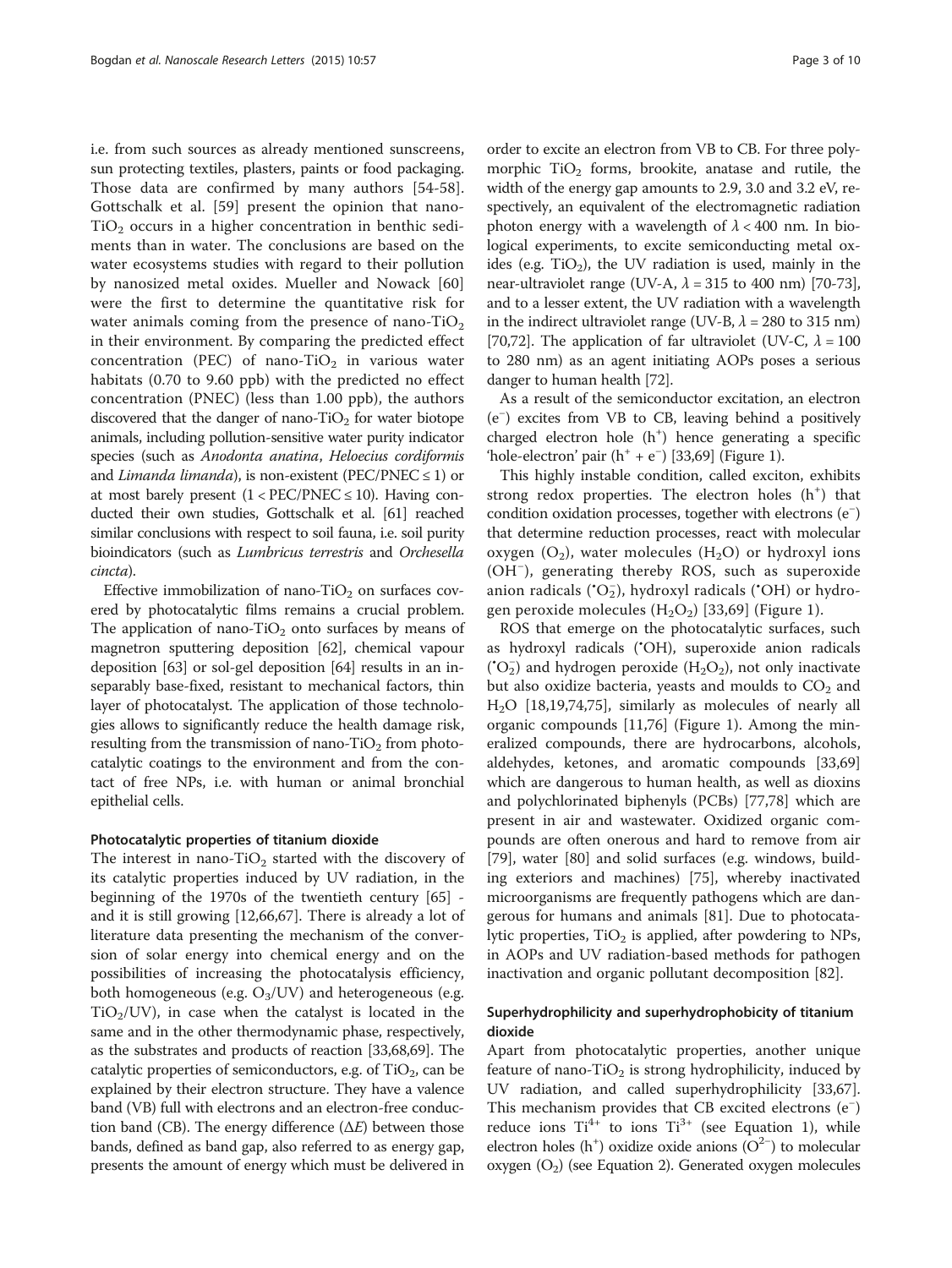i.e. from such sources as already mentioned sunscreens, sun protecting textiles, plasters, paints or food packaging. Those data are confirmed by many authors [\[54-58](#page-7-0)]. Gottschalk et al. [[59\]](#page-7-0) present the opinion that nano- $TiO<sub>2</sub>$  occurs in a higher concentration in benthic sediments than in water. The conclusions are based on the water ecosystems studies with regard to their pollution by nanosized metal oxides. Mueller and Nowack [\[60](#page-7-0)] were the first to determine the quantitative risk for water animals coming from the presence of nano-TiO<sub>2</sub> in their environment. By comparing the predicted effect concentration (PEC) of nano-TiO<sub>2</sub> in various water habitats (0.70 to 9.60 ppb) with the predicted no effect concentration (PNEC) (less than 1.00 ppb), the authors discovered that the danger of nano- $TiO<sub>2</sub>$  for water biotope animals, including pollution-sensitive water purity indicator species (such as Anodonta anatina, Heloecius cordiformis and *Limanda limanda*), is non-existent (PEC/PNEC  $\leq$  1) or at most barely present  $(1 < PEC/PNEC \le 10)$ . Having conducted their own studies, Gottschalk et al. [[61\]](#page-7-0) reached similar conclusions with respect to soil fauna, i.e. soil purity bioindicators (such as Lumbricus terrestris and Orchesella cincta).

Effective immobilization of nano-TiO<sub>2</sub> on surfaces covered by photocatalytic films remains a crucial problem. The application of nano-TiO<sub>2</sub> onto surfaces by means of magnetron sputtering deposition [[62](#page-7-0)], chemical vapour deposition [[63](#page-7-0)] or sol-gel deposition [[64](#page-7-0)] results in an inseparably base-fixed, resistant to mechanical factors, thin layer of photocatalyst. The application of those technologies allows to significantly reduce the health damage risk, resulting from the transmission of nano-TiO<sub>2</sub> from photocatalytic coatings to the environment and from the contact of free NPs, i.e. with human or animal bronchial epithelial cells.

#### Photocatalytic properties of titanium dioxide

The interest in nano-TiO<sub>2</sub> started with the discovery of its catalytic properties induced by UV radiation, in the beginning of the 1970s of the twentieth century [[65](#page-7-0)] and it is still growing [\[12,](#page-6-0)[66,](#page-7-0)[67\]](#page-8-0). There is already a lot of literature data presenting the mechanism of the conversion of solar energy into chemical energy and on the possibilities of increasing the photocatalysis efficiency, both homogeneous (e.g.  $O_3$ /UV) and heterogeneous (e.g.  $TiO<sub>2</sub>/UV$ , in case when the catalyst is located in the same and in the other thermodynamic phase, respectively, as the substrates and products of reaction [\[33,](#page-7-0)[68](#page-8-0),[69](#page-8-0)]. The catalytic properties of semiconductors, e.g. of  $TiO<sub>2</sub>$ , can be explained by their electron structure. They have a valence band (VB) full with electrons and an electron-free conduction band (CB). The energy difference  $(\Delta E)$  between those bands, defined as band gap, also referred to as energy gap, presents the amount of energy which must be delivered in

order to excite an electron from VB to CB. For three polymorphic  $TiO<sub>2</sub>$  forms, brookite, anatase and rutile, the width of the energy gap amounts to 2.9, 3.0 and 3.2 eV, respectively, an equivalent of the electromagnetic radiation photon energy with a wavelength of  $\lambda$  < 400 nm. In biological experiments, to excite semiconducting metal oxides (e.g.  $TiO<sub>2</sub>$ ), the UV radiation is used, mainly in the near-ultraviolet range (UV-A,  $\lambda$  = 315 to 400 nm) [[70](#page-8-0)-[73](#page-8-0)], and to a lesser extent, the UV radiation with a wavelength in the indirect ultraviolet range (UV-B,  $\lambda$  = 280 to 315 nm) [[70](#page-8-0),[72](#page-8-0)]. The application of far ultraviolet (UV-C,  $\lambda = 100$ to 280 nm) as an agent initiating AOPs poses a serious danger to human health [[72](#page-8-0)].

As a result of the semiconductor excitation, an electron (e− ) excites from VB to CB, leaving behind a positively charged electron hole (h<sup>+</sup>) hence generating a specific 'hole-electron' pair (h+ + e<sup>−</sup> ) [\[33,](#page-7-0)[69](#page-8-0)] (Figure [1\)](#page-3-0).

This highly instable condition, called exciton, exhibits strong redox properties. The electron holes  $(h<sup>+</sup>)$  that condition oxidation processes, together with electrons (e<sup>−</sup> ) that determine reduction processes, react with molecular oxygen  $(O_2)$ , water molecules  $(H_2O)$  or hydroxyl ions (OH<sup>−</sup> ), generating thereby ROS, such as superoxide anion radicals ('O<sub>2</sub>), hydroxyl radicals ('OH) or hydrogen peroxide molecules  $(H_2O_2)$  [\[33](#page-7-0),[69\]](#page-8-0) (Figure [1\)](#page-3-0).

ROS that emerge on the photocatalytic surfaces, such as hydroxyl radicals (• OH), superoxide anion radicals (' $O_2^-$ ) and hydrogen peroxide (H<sub>2</sub>O<sub>2</sub>), not only inactivate but also oxidize bacteria, yeasts and moulds to  $CO<sub>2</sub>$  and  $H<sub>2</sub>O$  [[18,19,](#page-7-0)[74](#page-8-0),[75](#page-8-0)], similarly as molecules of nearly all organic compounds [\[11](#page-6-0)[,76\]](#page-8-0) (Figure [1](#page-3-0)). Among the mineralized compounds, there are hydrocarbons, alcohols, aldehydes, ketones, and aromatic compounds [[33](#page-7-0),[69](#page-8-0)] which are dangerous to human health, as well as dioxins and polychlorinated biphenyls (PCBs) [[77,78\]](#page-8-0) which are present in air and wastewater. Oxidized organic compounds are often onerous and hard to remove from air [[79\]](#page-8-0), water [\[80](#page-8-0)] and solid surfaces (e.g. windows, building exteriors and machines) [\[75](#page-8-0)], whereby inactivated microorganisms are frequently pathogens which are dangerous for humans and animals [[81](#page-8-0)]. Due to photocatalytic properties,  $TiO<sub>2</sub>$  is applied, after powdering to NPs, in AOPs and UV radiation-based methods for pathogen inactivation and organic pollutant decomposition [[82\]](#page-8-0).

# Superhydrophilicity and superhydrophobicity of titanium dioxide

Apart from photocatalytic properties, another unique feature of nano-TiO<sub>2</sub> is strong hydrophilicity, induced by UV radiation, and called superhydrophilicity [\[33](#page-7-0)[,67](#page-8-0)]. This mechanism provides that CB excited electrons (e<sup>−</sup> ) reduce ions  $Ti^{4+}$  to ions  $Ti^{3+}$  (see Equation [1](#page-3-0)), while electron holes (h<sup>+</sup>) oxidize oxide anions ( $O<sup>2−</sup>$ ) to molecular oxygen  $(O_2)$  (see Equation [2\)](#page-3-0). Generated oxygen molecules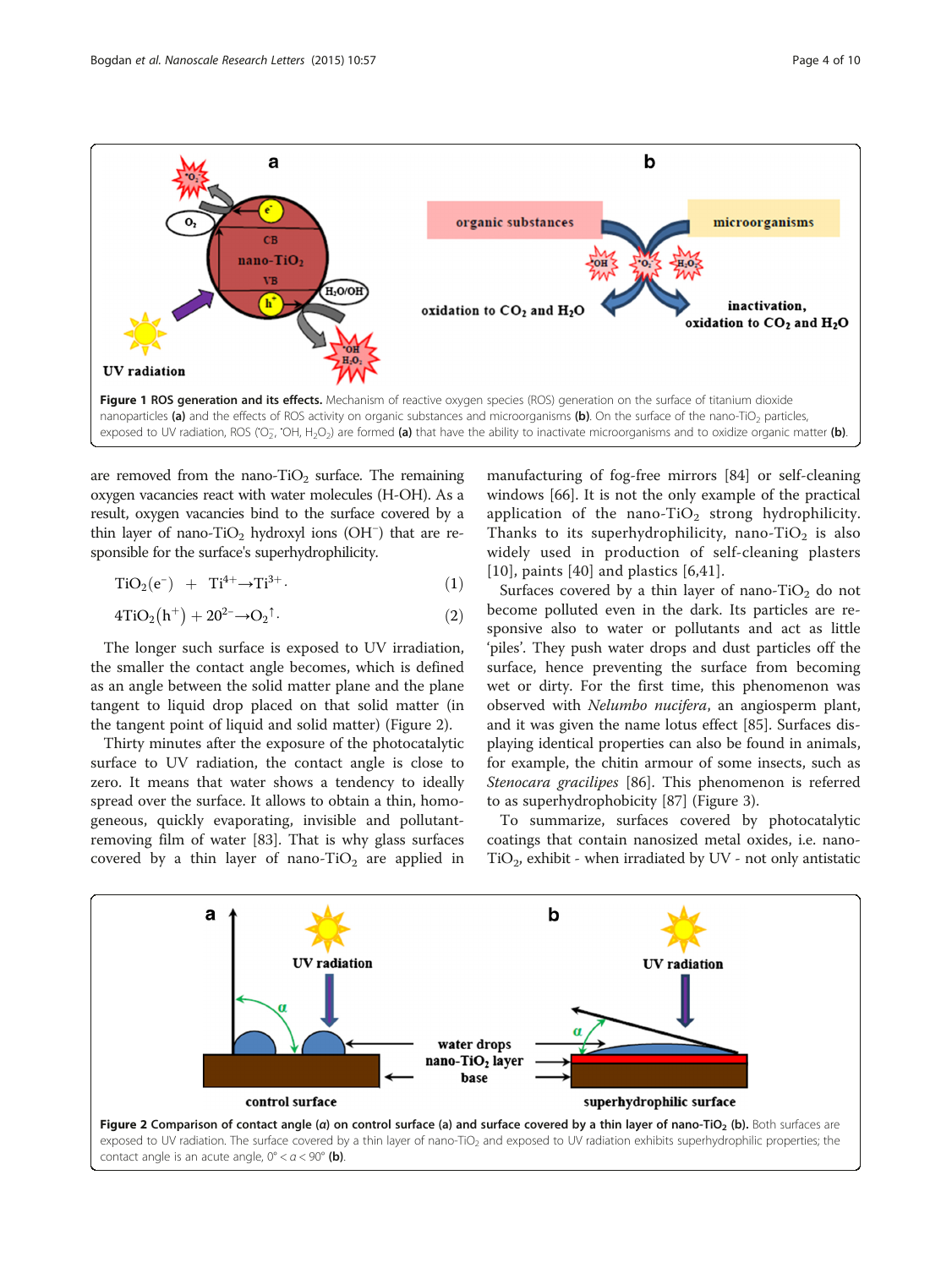<span id="page-3-0"></span>

are removed from the nano-TiO<sub>2</sub> surface. The remaining oxygen vacancies react with water molecules (H-OH). As a result, oxygen vacancies bind to the surface covered by a thin layer of nano-TiO2 hydroxyl ions (OH<sup>−</sup> ) that are responsible for the surface's superhydrophilicity.

$$
TiO2(e-) + Ti4+ \rightarrow Ti3+.
$$
 (1)

$$
4TiO2(h+) + 202- \rightarrow O2\uparrow.
$$
 (2)

The longer such surface is exposed to UV irradiation, the smaller the contact angle becomes, which is defined as an angle between the solid matter plane and the plane tangent to liquid drop placed on that solid matter (in the tangent point of liquid and solid matter) (Figure 2).

Thirty minutes after the exposure of the photocatalytic surface to UV radiation, the contact angle is close to zero. It means that water shows a tendency to ideally spread over the surface. It allows to obtain a thin, homogeneous, quickly evaporating, invisible and pollutantremoving film of water [\[83\]](#page-8-0). That is why glass surfaces covered by a thin layer of nano-TiO<sub>2</sub> are applied in manufacturing of fog-free mirrors [\[84](#page-8-0)] or self-cleaning windows [[66\]](#page-7-0). It is not the only example of the practical application of the nano-TiO<sub>2</sub> strong hydrophilicity. Thanks to its superhydrophilicity, nano-TiO<sub>2</sub> is also widely used in production of self-cleaning plasters [[10](#page-6-0)], paints [\[40\]](#page-7-0) and plastics  $[6,41]$  $[6,41]$  $[6,41]$ .

Surfaces covered by a thin layer of nano-TiO<sub>2</sub> do not become polluted even in the dark. Its particles are responsive also to water or pollutants and act as little 'piles'. They push water drops and dust particles off the surface, hence preventing the surface from becoming wet or dirty. For the first time, this phenomenon was observed with Nelumbo nucifera, an angiosperm plant, and it was given the name lotus effect [\[85\]](#page-8-0). Surfaces displaying identical properties can also be found in animals, for example, the chitin armour of some insects, such as Stenocara gracilipes [[86\]](#page-8-0). This phenomenon is referred to as superhydrophobicity [\[87](#page-8-0)] (Figure [3\)](#page-4-0).

To summarize, surfaces covered by photocatalytic coatings that contain nanosized metal oxides, i.e. nano- $TiO<sub>2</sub>$ , exhibit - when irradiated by UV - not only antistatic



contact angle is an acute angle,  $0^{\circ} < a < 90^{\circ}$  (b).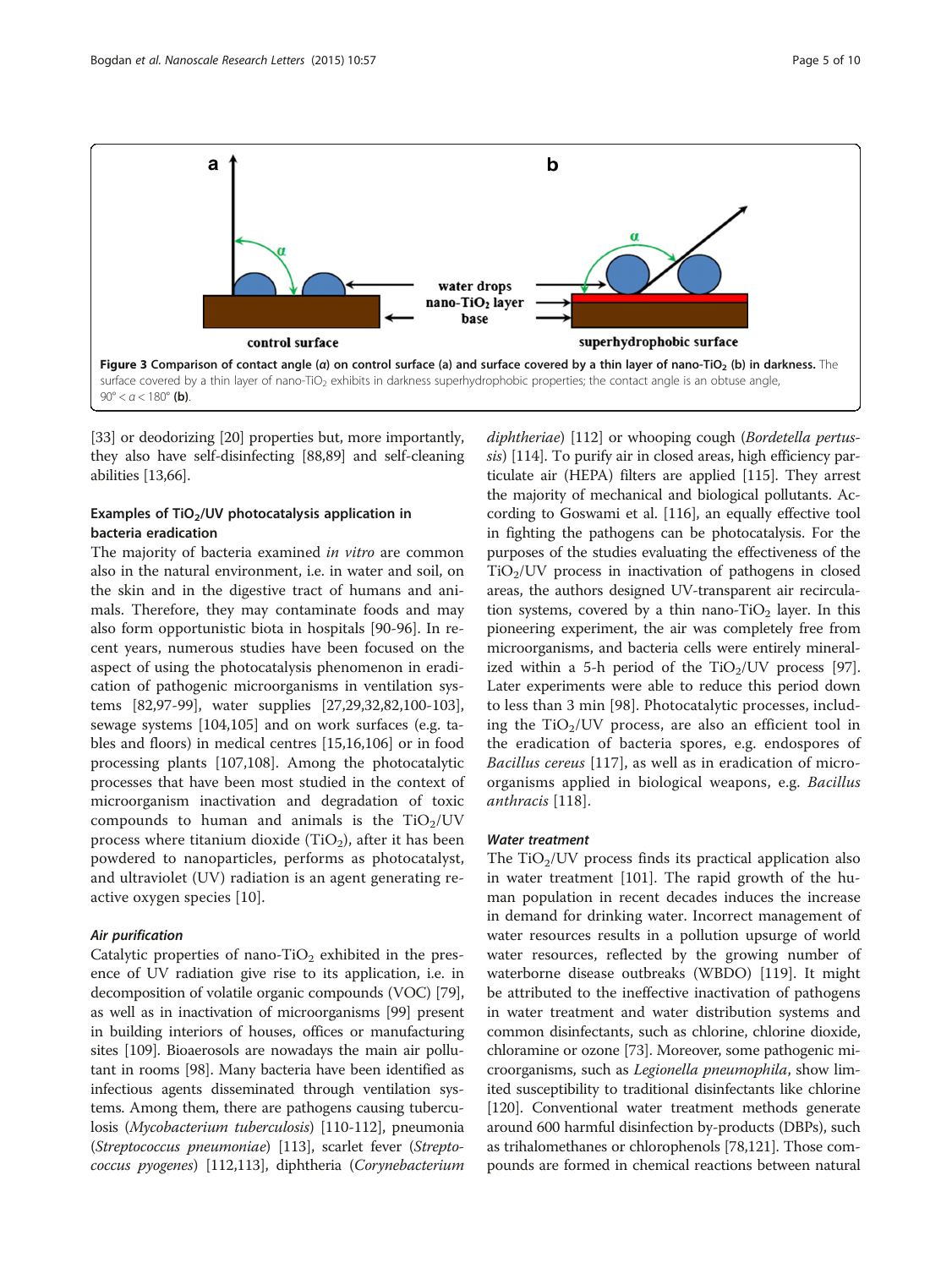<span id="page-4-0"></span>

[[33](#page-7-0)] or deodorizing [\[20\]](#page-7-0) properties but, more importantly, they also have self-disinfecting [\[88,89](#page-8-0)] and self-cleaning abilities [[13](#page-6-0)[,66](#page-7-0)].

# Examples of TiO<sub>2</sub>/UV photocatalysis application in bacteria eradication

The majority of bacteria examined *in vitro* are common also in the natural environment, i.e. in water and soil, on the skin and in the digestive tract of humans and animals. Therefore, they may contaminate foods and may also form opportunistic biota in hospitals [[90-96](#page-8-0)]. In recent years, numerous studies have been focused on the aspect of using the photocatalysis phenomenon in eradication of pathogenic microorganisms in ventilation systems [[82,97-99\]](#page-8-0), water supplies [\[27,29,32](#page-7-0)[,82,100-103](#page-8-0)], sewage systems [\[104,105\]](#page-8-0) and on work surfaces (e.g. tables and floors) in medical centres [\[15,16](#page-7-0)[,106](#page-8-0)] or in food processing plants [[107](#page-8-0),[108](#page-8-0)]. Among the photocatalytic processes that have been most studied in the context of microorganism inactivation and degradation of toxic compounds to human and animals is the  $TiO<sub>2</sub>/UV$ process where titanium dioxide (TiO<sub>2</sub>), after it has been powdered to nanoparticles, performs as photocatalyst, and ultraviolet (UV) radiation is an agent generating reactive oxygen species [\[10](#page-6-0)].

#### Air purification

Catalytic properties of nano-TiO<sub>2</sub> exhibited in the presence of UV radiation give rise to its application, i.e. in decomposition of volatile organic compounds (VOC) [[79](#page-8-0)], as well as in inactivation of microorganisms [[99](#page-8-0)] present in building interiors of houses, offices or manufacturing sites [[109](#page-8-0)]. Bioaerosols are nowadays the main air pollutant in rooms [[98](#page-8-0)]. Many bacteria have been identified as infectious agents disseminated through ventilation systems. Among them, there are pathogens causing tuberculosis (Mycobacterium tuberculosis) [[110](#page-8-0)-[112](#page-8-0)], pneumonia (Streptococcus pneumoniae) [\[113\]](#page-8-0), scarlet fever (Streptococcus pyogenes) [[112,113\]](#page-8-0), diphtheria (Corynebacterium diphtheriae) [\[112](#page-8-0)] or whooping cough (Bordetella pertus-sis) [\[114](#page-8-0)]. To purify air in closed areas, high efficiency particulate air (HEPA) filters are applied [[115](#page-8-0)]. They arrest the majority of mechanical and biological pollutants. According to Goswami et al. [\[116\]](#page-8-0), an equally effective tool in fighting the pathogens can be photocatalysis. For the purposes of the studies evaluating the effectiveness of the  $TiO<sub>2</sub>/UV$  process in inactivation of pathogens in closed areas, the authors designed UV-transparent air recirculation systems, covered by a thin nano-TiO<sub>2</sub> layer. In this pioneering experiment, the air was completely free from microorganisms, and bacteria cells were entirely mineralized within a 5-h period of the  $TiO<sub>2</sub>/UV$  process [[97](#page-8-0)]. Later experiments were able to reduce this period down to less than 3 min [[98\]](#page-8-0). Photocatalytic processes, including the  $TiO<sub>2</sub>/UV$  process, are also an efficient tool in the eradication of bacteria spores, e.g. endospores of Bacillus cereus [[117](#page-9-0)], as well as in eradication of microorganisms applied in biological weapons, e.g. Bacillus anthracis [\[118](#page-9-0)].

#### Water treatment

The  $TiO<sub>2</sub>/UV$  process finds its practical application also in water treatment [\[101](#page-8-0)]. The rapid growth of the human population in recent decades induces the increase in demand for drinking water. Incorrect management of water resources results in a pollution upsurge of world water resources, reflected by the growing number of waterborne disease outbreaks (WBDO) [[119](#page-9-0)]. It might be attributed to the ineffective inactivation of pathogens in water treatment and water distribution systems and common disinfectants, such as chlorine, chlorine dioxide, chloramine or ozone [\[73](#page-8-0)]. Moreover, some pathogenic microorganisms, such as Legionella pneumophila, show limited susceptibility to traditional disinfectants like chlorine [[120](#page-9-0)]. Conventional water treatment methods generate around 600 harmful disinfection by-products (DBPs), such as trihalomethanes or chlorophenols [\[78](#page-8-0)[,121\]](#page-9-0). Those compounds are formed in chemical reactions between natural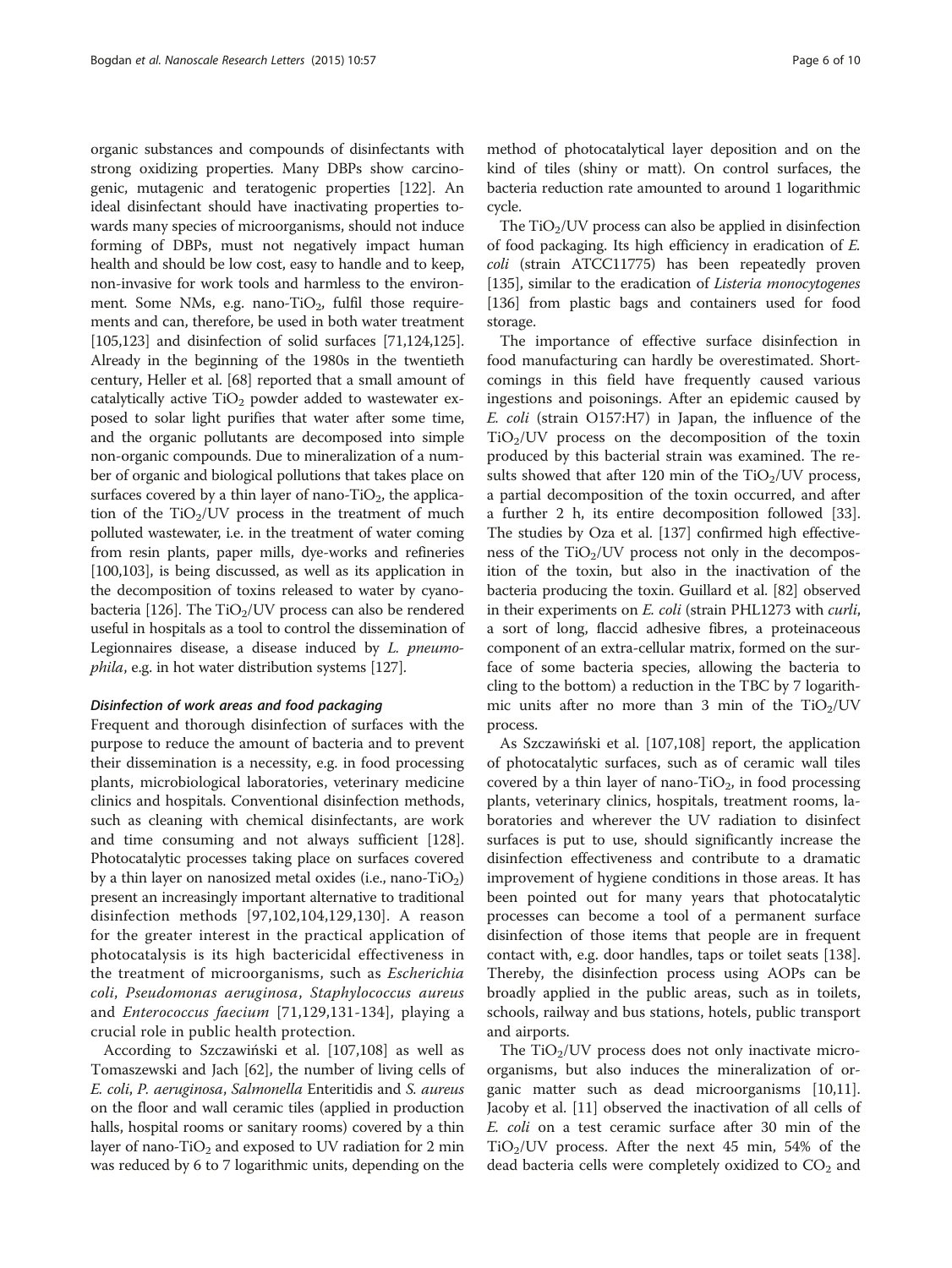organic substances and compounds of disinfectants with strong oxidizing properties. Many DBPs show carcinogenic, mutagenic and teratogenic properties [\[122](#page-9-0)]. An ideal disinfectant should have inactivating properties towards many species of microorganisms, should not induce forming of DBPs, must not negatively impact human health and should be low cost, easy to handle and to keep, non-invasive for work tools and harmless to the environment. Some NMs, e.g. nano-TiO<sub>2</sub>, fulfil those requirements and can, therefore, be used in both water treatment [[105](#page-8-0)[,123\]](#page-9-0) and disinfection of solid surfaces [[71](#page-8-0)[,124,125](#page-9-0)]. Already in the beginning of the 1980s in the twentieth century, Heller et al. [\[68\]](#page-8-0) reported that a small amount of catalytically active  $TiO<sub>2</sub>$  powder added to wastewater exposed to solar light purifies that water after some time, and the organic pollutants are decomposed into simple non-organic compounds. Due to mineralization of a number of organic and biological pollutions that takes place on surfaces covered by a thin layer of nano-TiO<sub>2</sub>, the application of the  $TiO<sub>2</sub>/UV$  process in the treatment of much polluted wastewater, i.e. in the treatment of water coming from resin plants, paper mills, dye-works and refineries [[100,103\]](#page-8-0), is being discussed, as well as its application in the decomposition of toxins released to water by cyano-bacteria [\[126](#page-9-0)]. The  $TiO<sub>2</sub>/UV$  process can also be rendered useful in hospitals as a tool to control the dissemination of Legionnaires disease, a disease induced by L. pneumophila, e.g. in hot water distribution systems [[127](#page-9-0)].

#### Disinfection of work areas and food packaging

Frequent and thorough disinfection of surfaces with the purpose to reduce the amount of bacteria and to prevent their dissemination is a necessity, e.g. in food processing plants, microbiological laboratories, veterinary medicine clinics and hospitals. Conventional disinfection methods, such as cleaning with chemical disinfectants, are work and time consuming and not always sufficient [\[128](#page-9-0)]. Photocatalytic processes taking place on surfaces covered by a thin layer on nanosized metal oxides (i.e., nano-TiO<sub>2</sub>) present an increasingly important alternative to traditional disinfection methods [[97,102,104](#page-8-0),[129,130\]](#page-9-0). A reason for the greater interest in the practical application of photocatalysis is its high bactericidal effectiveness in the treatment of microorganisms, such as Escherichia coli, Pseudomonas aeruginosa, Staphylococcus aureus and Enterococcus faecium [\[71,](#page-8-0)[129](#page-9-0),[131-134\]](#page-9-0), playing a crucial role in public health protection.

According to Szczawiński et al. [\[107,108\]](#page-8-0) as well as Tomaszewski and Jach [[62](#page-7-0)], the number of living cells of E. coli, P. aeruginosa, Salmonella Enteritidis and S. aureus on the floor and wall ceramic tiles (applied in production halls, hospital rooms or sanitary rooms) covered by a thin layer of nano-TiO<sub>2</sub> and exposed to UV radiation for 2 min was reduced by 6 to 7 logarithmic units, depending on the

method of photocatalytical layer deposition and on the kind of tiles (shiny or matt). On control surfaces, the bacteria reduction rate amounted to around 1 logarithmic cycle.

The  $TiO<sub>2</sub>/UV$  process can also be applied in disinfection of food packaging. Its high efficiency in eradication of E. coli (strain ATCC11775) has been repeatedly proven [[135](#page-9-0)], similar to the eradication of *Listeria monocytogenes* [[136](#page-9-0)] from plastic bags and containers used for food storage.

The importance of effective surface disinfection in food manufacturing can hardly be overestimated. Shortcomings in this field have frequently caused various ingestions and poisonings. After an epidemic caused by E. coli (strain O157:H7) in Japan, the influence of the  $TiO<sub>2</sub>/UV$  process on the decomposition of the toxin produced by this bacterial strain was examined. The results showed that after 120 min of the  $TiO<sub>2</sub>/UV$  process, a partial decomposition of the toxin occurred, and after a further 2 h, its entire decomposition followed [\[33](#page-7-0)]. The studies by Oza et al. [\[137\]](#page-9-0) confirmed high effectiveness of the  $TiO<sub>2</sub>/UV$  process not only in the decomposition of the toxin, but also in the inactivation of the bacteria producing the toxin. Guillard et al. [[82](#page-8-0)] observed in their experiments on E. coli (strain PHL1273 with curli, a sort of long, flaccid adhesive fibres, a proteinaceous component of an extra-cellular matrix, formed on the surface of some bacteria species, allowing the bacteria to cling to the bottom) a reduction in the TBC by 7 logarithmic units after no more than 3 min of the  $TiO<sub>2</sub>/UV$ process.

As Szczawiński et al. [\[107,108\]](#page-8-0) report, the application of photocatalytic surfaces, such as of ceramic wall tiles covered by a thin layer of nano-TiO<sub>2</sub>, in food processing plants, veterinary clinics, hospitals, treatment rooms, laboratories and wherever the UV radiation to disinfect surfaces is put to use, should significantly increase the disinfection effectiveness and contribute to a dramatic improvement of hygiene conditions in those areas. It has been pointed out for many years that photocatalytic processes can become a tool of a permanent surface disinfection of those items that people are in frequent contact with, e.g. door handles, taps or toilet seats [[138](#page-9-0)]. Thereby, the disinfection process using AOPs can be broadly applied in the public areas, such as in toilets, schools, railway and bus stations, hotels, public transport and airports.

The  $TiO<sub>2</sub>/UV$  process does not only inactivate microorganisms, but also induces the mineralization of organic matter such as dead microorganisms [\[10,11](#page-6-0)]. Jacoby et al. [\[11](#page-6-0)] observed the inactivation of all cells of E. coli on a test ceramic surface after 30 min of the  $TiO<sub>2</sub>/UV$  process. After the next 45 min, 54% of the dead bacteria cells were completely oxidized to  $CO<sub>2</sub>$  and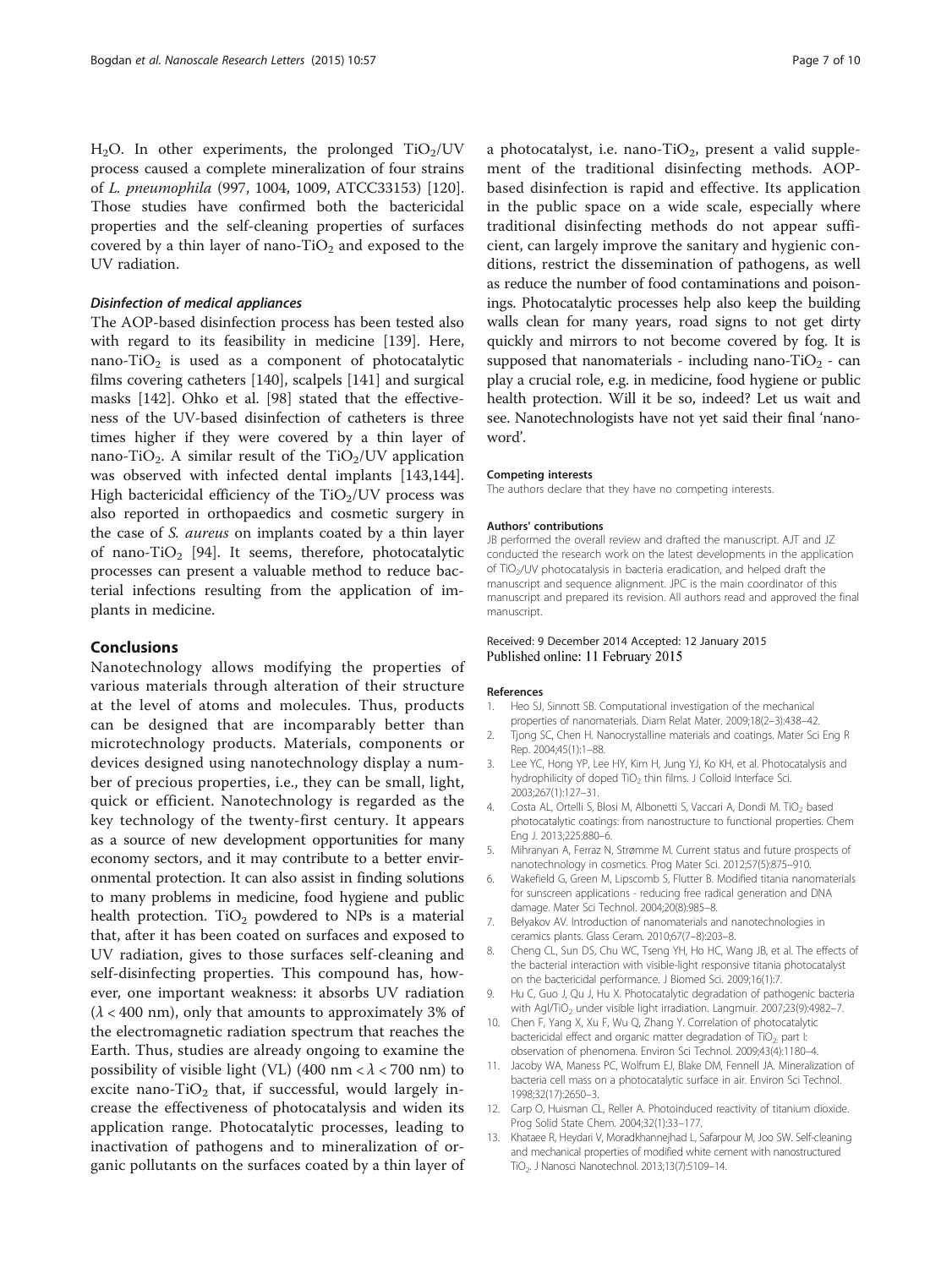<span id="page-6-0"></span> $H<sub>2</sub>O$ . In other experiments, the prolonged  $TiO<sub>2</sub>/UV$ process caused a complete mineralization of four strains of L. pneumophila (997, 1004, 1009, ATCC33153) [\[120](#page-9-0)]. Those studies have confirmed both the bactericidal properties and the self-cleaning properties of surfaces covered by a thin layer of nano-TiO<sub>2</sub> and exposed to the UV radiation.

## Disinfection of medical appliances

The AOP-based disinfection process has been tested also with regard to its feasibility in medicine [[139\]](#page-9-0). Here, nano-TiO<sub>2</sub> is used as a component of photocatalytic films covering catheters [\[140\]](#page-9-0), scalpels [\[141](#page-9-0)] and surgical masks [\[142](#page-9-0)]. Ohko et al. [[98\]](#page-8-0) stated that the effectiveness of the UV-based disinfection of catheters is three times higher if they were covered by a thin layer of nano-TiO<sub>2</sub>. A similar result of the TiO<sub>2</sub>/UV application was observed with infected dental implants [[143,144](#page-9-0)]. High bactericidal efficiency of the  $TiO<sub>2</sub>/UV$  process was also reported in orthopaedics and cosmetic surgery in the case of S. aureus on implants coated by a thin layer of nano-TiO<sub>2</sub> [\[94\]](#page-8-0). It seems, therefore, photocatalytic processes can present a valuable method to reduce bacterial infections resulting from the application of implants in medicine.

### **Conclusions**

Nanotechnology allows modifying the properties of various materials through alteration of their structure at the level of atoms and molecules. Thus, products can be designed that are incomparably better than microtechnology products. Materials, components or devices designed using nanotechnology display a number of precious properties, i.e., they can be small, light, quick or efficient. Nanotechnology is regarded as the key technology of the twenty-first century. It appears as a source of new development opportunities for many economy sectors, and it may contribute to a better environmental protection. It can also assist in finding solutions to many problems in medicine, food hygiene and public health protection.  $TiO<sub>2</sub>$  powdered to NPs is a material that, after it has been coated on surfaces and exposed to UV radiation, gives to those surfaces self-cleaning and self-disinfecting properties. This compound has, however, one important weakness: it absorbs UV radiation  $(\lambda < 400 \text{ nm})$ , only that amounts to approximately 3% of the electromagnetic radiation spectrum that reaches the Earth. Thus, studies are already ongoing to examine the possibility of visible light (VL) (400 nm <  $\lambda$  < 700 nm) to excite nano-TiO<sub>2</sub> that, if successful, would largely increase the effectiveness of photocatalysis and widen its application range. Photocatalytic processes, leading to inactivation of pathogens and to mineralization of organic pollutants on the surfaces coated by a thin layer of

a photocatalyst, i.e. nano-TiO<sub>2</sub>, present a valid supplement of the traditional disinfecting methods. AOPbased disinfection is rapid and effective. Its application in the public space on a wide scale, especially where traditional disinfecting methods do not appear sufficient, can largely improve the sanitary and hygienic conditions, restrict the dissemination of pathogens, as well as reduce the number of food contaminations and poisonings. Photocatalytic processes help also keep the building walls clean for many years, road signs to not get dirty quickly and mirrors to not become covered by fog. It is supposed that nanomaterials - including nano-TiO<sub>2</sub> - can play a crucial role, e.g. in medicine, food hygiene or public health protection. Will it be so, indeed? Let us wait and see. Nanotechnologists have not yet said their final 'nanoword'.

#### Competing interests

The authors declare that they have no competing interests.

#### Authors' contributions

JB performed the overall review and drafted the manuscript. AJT and JZ conducted the research work on the latest developments in the application of TiO<sub>2</sub>/UV photocatalysis in bacteria eradication, and helped draft the manuscript and sequence alignment. JPC is the main coordinator of this manuscript and prepared its revision. All authors read and approved the final manuscript.

#### Received: 9 December 2014 Accepted: 12 January 2015 Published online: 11 February 2015

#### References

- 1. Heo SJ, Sinnott SB. Computational investigation of the mechanical properties of nanomaterials. Diam Relat Mater. 2009;18(2–3):438–42.
- 2. Tjong SC, Chen H. Nanocrystalline materials and coatings. Mater Sci Eng R Rep. 2004;45(1):1–88.
- 3. Lee YC, Hong YP, Lee HY, Kim H, Jung YJ, Ko KH, et al. Photocatalysis and hydrophilicity of doped TiO<sub>2</sub> thin films. J Colloid Interface Sci. 2003;267(1):127–31.
- 4. Costa AL, Ortelli S, Blosi M, Albonetti S, Vaccari A, Dondi M. TiO<sub>2</sub> based photocatalytic coatings: from nanostructure to functional properties. Chem Eng J. 2013;225:880–6.
- 5. Mihranyan A, Ferraz N, Strømme M. Current status and future prospects of nanotechnology in cosmetics. Prog Mater Sci. 2012;57(5):875–910.
- 6. Wakefield G, Green M, Lipscomb S, Flutter B. Modified titania nanomaterials for sunscreen applications - reducing free radical generation and DNA damage. Mater Sci Technol. 2004;20(8):985–8.
- 7. Belyakov AV. Introduction of nanomaterials and nanotechnologies in ceramics plants. Glass Ceram. 2010;67(7–8):203–8.
- 8. Cheng CL, Sun DS, Chu WC, Tseng YH, Ho HC, Wang JB, et al. The effects of the bacterial interaction with visible-light responsive titania photocatalyst on the bactericidal performance. J Biomed Sci. 2009;16(1):7.
- 9. Hu C, Guo J, Qu J, Hu X. Photocatalytic degradation of pathogenic bacteria with Agl/TiO<sub>2</sub> under visible light irradiation. Langmuir. 2007;23(9):4982-7.
- 10. Chen F, Yang X, Xu F, Wu Q, Zhang Y. Correlation of photocatalytic bactericidal effect and organic matter degradation of  $TiO<sub>2</sub>$  part I: observation of phenomena. Environ Sci Technol. 2009;43(4):1180–4.
- 11. Jacoby WA, Maness PC, Wolfrum EJ, Blake DM, Fennell JA. Mineralization of bacteria cell mass on a photocatalytic surface in air. Environ Sci Technol. 1998;32(17):2650–3.
- 12. Carp O, Huisman CL, Reller A. Photoinduced reactivity of titanium dioxide. Prog Solid State Chem. 2004;32(1):33–177.
- 13. Khataee R, Heydari V, Moradkhannejhad L, Safarpour M, Joo SW. Self-cleaning and mechanical properties of modified white cement with nanostructured TiO2. J Nanosci Nanotechnol. 2013;13(7):5109–14.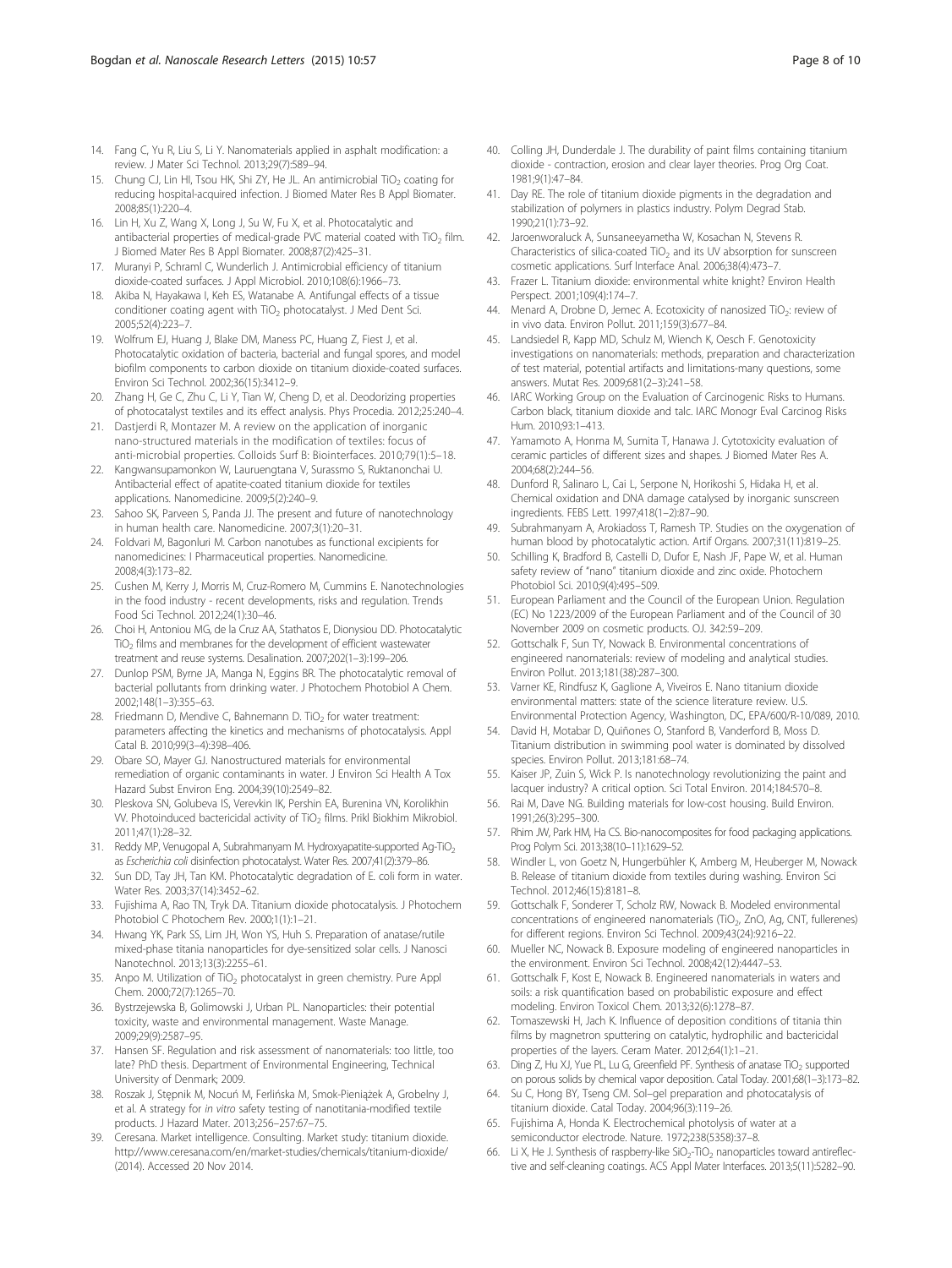- <span id="page-7-0"></span>14. Fang C, Yu R, Liu S, Li Y. Nanomaterials applied in asphalt modification: a review. J Mater Sci Technol. 2013;29(7):589–94.
- 15. Chung CJ, Lin HI, Tsou HK, Shi ZY, He JL. An antimicrobial TiO<sub>2</sub> coating for reducing hospital-acquired infection. J Biomed Mater Res B Appl Biomater. 2008;85(1):220–4.
- 16. Lin H, Xu Z, Wang X, Long J, Su W, Fu X, et al. Photocatalytic and antibacterial properties of medical-grade PVC material coated with TiO<sub>2</sub> film. J Biomed Mater Res B Appl Biomater. 2008;87(2):425–31.
- 17. Muranyi P, Schraml C, Wunderlich J. Antimicrobial efficiency of titanium dioxide-coated surfaces. J Appl Microbiol. 2010;108(6):1966–73.
- 18. Akiba N, Hayakawa I, Keh ES, Watanabe A. Antifungal effects of a tissue conditioner coating agent with TiO<sub>2</sub> photocatalyst. J Med Dent Sci. 2005;52(4):223–7.
- 19. Wolfrum EJ, Huang J, Blake DM, Maness PC, Huang Z, Fiest J, et al. Photocatalytic oxidation of bacteria, bacterial and fungal spores, and model biofilm components to carbon dioxide on titanium dioxide-coated surfaces. Environ Sci Technol. 2002;36(15):3412–9.
- 20. Zhang H, Ge C, Zhu C, Li Y, Tian W, Cheng D, et al. Deodorizing properties of photocatalyst textiles and its effect analysis. Phys Procedia. 2012;25:240–4.
- 21. Dastierdi R, Montazer M, A review on the application of inorganic nano-structured materials in the modification of textiles: focus of anti-microbial properties. Colloids Surf B: Biointerfaces. 2010;79(1):5–18.
- 22. Kangwansupamonkon W, Lauruengtana V, Surassmo S, Ruktanonchai U. Antibacterial effect of apatite-coated titanium dioxide for textiles applications. Nanomedicine. 2009;5(2):240–9.
- 23. Sahoo SK, Parveen S, Panda JJ. The present and future of nanotechnology in human health care. Nanomedicine. 2007;3(1):20–31.
- 24. Foldvari M, Bagonluri M. Carbon nanotubes as functional excipients for nanomedicines: I Pharmaceutical properties. Nanomedicine. 2008;4(3):173–82.
- 25. Cushen M, Kerry J, Morris M, Cruz-Romero M, Cummins E. Nanotechnologies in the food industry - recent developments, risks and regulation. Trends Food Sci Technol. 2012;24(1):30–46.
- 26. Choi H, Antoniou MG, de la Cruz AA, Stathatos E, Dionysiou DD. Photocatalytic TiO2 films and membranes for the development of efficient wastewater treatment and reuse systems. Desalination. 2007;202(1–3):199–206.
- 27. Dunlop PSM, Byrne JA, Manga N, Eggins BR. The photocatalytic removal of bacterial pollutants from drinking water. J Photochem Photobiol A Chem. 2002;148(1–3):355–63.
- 28. Friedmann D, Mendive C, Bahnemann D. TiO<sub>2</sub> for water treatment: parameters affecting the kinetics and mechanisms of photocatalysis. Appl Catal B. 2010;99(3–4):398–406.
- 29. Obare SO, Mayer GJ. Nanostructured materials for environmental remediation of organic contaminants in water. J Environ Sci Health A Tox Hazard Subst Environ Eng. 2004;39(10):2549–82.
- 30. Pleskova SN, Golubeva IS, Verevkin IK, Pershin EA, Burenina VN, Korolikhin VV. Photoinduced bactericidal activity of TiO2 films. Prikl Biokhim Mikrobiol. 2011;47(1):28–32.
- 31. Reddy MP, Venugopal A, Subrahmanyam M. Hydroxyapatite-supported Ag-TiO<sub>2</sub> as Escherichia coli disinfection photocatalyst. Water Res. 2007;41(2):379–86.
- 32. Sun DD, Tay JH, Tan KM. Photocatalytic degradation of E. coli form in water. Water Res. 2003;37(14):3452–62.
- 33. Fujishima A, Rao TN, Tryk DA. Titanium dioxide photocatalysis. J Photochem Photobiol C Photochem Rev. 2000;1(1):1–21.
- 34. Hwang YK, Park SS, Lim JH, Won YS, Huh S. Preparation of anatase/rutile mixed-phase titania nanoparticles for dye-sensitized solar cells. J Nanosci Nanotechnol. 2013;13(3):2255–61.
- 35. Anpo M. Utilization of TiO<sub>2</sub> photocatalyst in green chemistry. Pure Appl Chem. 2000;72(7):1265–70.
- 36. Bystrzejewska B, Golimowski J, Urban PL. Nanoparticles: their potential toxicity, waste and environmental management. Waste Manage. 2009;29(9):2587–95.
- 37. Hansen SF. Regulation and risk assessment of nanomaterials: too little, too late? PhD thesis. Department of Environmental Engineering, Technical University of Denmark; 2009.
- 38. Roszak J, Stępnik M, Nocuń M, Ferlińska M, Smok-Pieniążek A, Grobelny J, et al. A strategy for in vitro safety testing of nanotitania-modified textile products. J Hazard Mater. 2013;256–257:67–75.
- 39. Ceresana. Market intelligence. Consulting. Market study: titanium dioxide. <http://www.ceresana.com/en/market-studies/chemicals/titanium-dioxide/> (2014). Accessed 20 Nov 2014.
- 40. Colling JH, Dunderdale J. The durability of paint films containing titanium dioxide - contraction, erosion and clear layer theories. Prog Org Coat. 1981;9(1):47–84.
- 41. Day RE. The role of titanium dioxide pigments in the degradation and stabilization of polymers in plastics industry. Polym Degrad Stab. 1990;21(1):73–92.
- 42. Jaroenworaluck A, Sunsaneeyametha W, Kosachan N, Stevens R. Characteristics of silica-coated  $TiO<sub>2</sub>$  and its UV absorption for sunscreen cosmetic applications. Surf Interface Anal. 2006;38(4):473–7.
- 43. Frazer L. Titanium dioxide: environmental white knight? Environ Health Perspect. 2001;109(4):174–7.
- 44. Menard A, Drobne D, Jemec A. Ecotoxicity of nanosized  $TiO<sub>2</sub>$ : review of in vivo data. Environ Pollut. 2011;159(3):677–84.
- 45. Landsiedel R, Kapp MD, Schulz M, Wiench K, Oesch F. Genotoxicity investigations on nanomaterials: methods, preparation and characterization of test material, potential artifacts and limitations-many questions, some answers. Mutat Res. 2009;681(2–3):241–58.
- 46. IARC Working Group on the Evaluation of Carcinogenic Risks to Humans. Carbon black, titanium dioxide and talc. IARC Monogr Eval Carcinog Risks Hum. 2010;93:1–413.
- 47. Yamamoto A, Honma M, Sumita T, Hanawa J. Cytotoxicity evaluation of ceramic particles of different sizes and shapes. J Biomed Mater Res A. 2004;68(2):244–56.
- 48. Dunford R, Salinaro L, Cai L, Serpone N, Horikoshi S, Hidaka H, et al. Chemical oxidation and DNA damage catalysed by inorganic sunscreen ingredients. FEBS Lett. 1997;418(1–2):87–90.
- 49. Subrahmanyam A, Arokiadoss T, Ramesh TP. Studies on the oxygenation of human blood by photocatalytic action. Artif Organs. 2007;31(11):819–25.
- 50. Schilling K, Bradford B, Castelli D, Dufor E, Nash JF, Pape W, et al. Human safety review of "nano" titanium dioxide and zinc oxide. Photochem Photobiol Sci. 2010;9(4):495–509.
- 51. European Parliament and the Council of the European Union. Regulation (EC) No 1223/2009 of the European Parliament and of the Council of 30 November 2009 on cosmetic products. OJ. 342:59–209.
- 52. Gottschalk F, Sun TY, Nowack B. Environmental concentrations of engineered nanomaterials: review of modeling and analytical studies. Environ Pollut. 2013;181(38):287–300.
- 53. Varner KE, Rindfusz K, Gaglione A, Viveiros E. Nano titanium dioxide environmental matters: state of the science literature review. U.S. Environmental Protection Agency, Washington, DC, EPA/600/R-10/089, 2010.
- 54. David H, Motabar D, Quiñones O, Stanford B, Vanderford B, Moss D. Titanium distribution in swimming pool water is dominated by dissolved species. Environ Pollut. 2013;181:68–74.
- 55. Kaiser JP, Zuin S, Wick P. Is nanotechnology revolutionizing the paint and lacquer industry? A critical option. Sci Total Environ. 2014;184:570–8.
- 56. Rai M, Dave NG. Building materials for low-cost housing. Build Environ. 1991;26(3):295–300.
- 57. Rhim JW, Park HM, Ha CS. Bio-nanocomposites for food packaging applications. Prog Polym Sci. 2013;38(10–11):1629–52.
- 58. Windler L, von Goetz N, Hungerbühler K, Amberg M, Heuberger M, Nowack B. Release of titanium dioxide from textiles during washing. Environ Sci Technol. 2012;46(15):8181–8.
- 59. Gottschalk F, Sonderer T, Scholz RW, Nowack B. Modeled environmental concentrations of engineered nanomaterials (TiO<sub>2</sub>, ZnO, Ag, CNT, fullerenes) for different regions. Environ Sci Technol. 2009;43(24):9216–22.
- 60. Mueller NC, Nowack B. Exposure modeling of engineered nanoparticles in the environment. Environ Sci Technol. 2008;42(12):4447–53.
- 61. Gottschalk F, Kost E, Nowack B. Engineered nanomaterials in waters and soils: a risk quantification based on probabilistic exposure and effect modeling. Environ Toxicol Chem. 2013;32(6):1278–87.
- 62. Tomaszewski H, Jach K. Influence of deposition conditions of titania thin films by magnetron sputtering on catalytic, hydrophilic and bactericidal properties of the layers. Ceram Mater. 2012;64(1):1–21.
- 63. Ding Z, Hu XJ, Yue PL, Lu G, Greenfield PF. Synthesis of anatase TiO<sub>2</sub> supported on porous solids by chemical vapor deposition. Catal Today. 2001;68(1–3):173–82.
- Su C, Hong BY, Tseng CM. Sol-gel preparation and photocatalysis of titanium dioxide. Catal Today. 2004;96(3):119–26.
- 65. Fujishima A, Honda K. Electrochemical photolysis of water at a semiconductor electrode. Nature. 1972;238(5358):37–8.
- 66. Li X, He J. Synthesis of raspberry-like  $SiO_2$ -TiO<sub>2</sub> nanoparticles toward antireflective and self-cleaning coatings. ACS Appl Mater Interfaces. 2013;5(11):5282–90.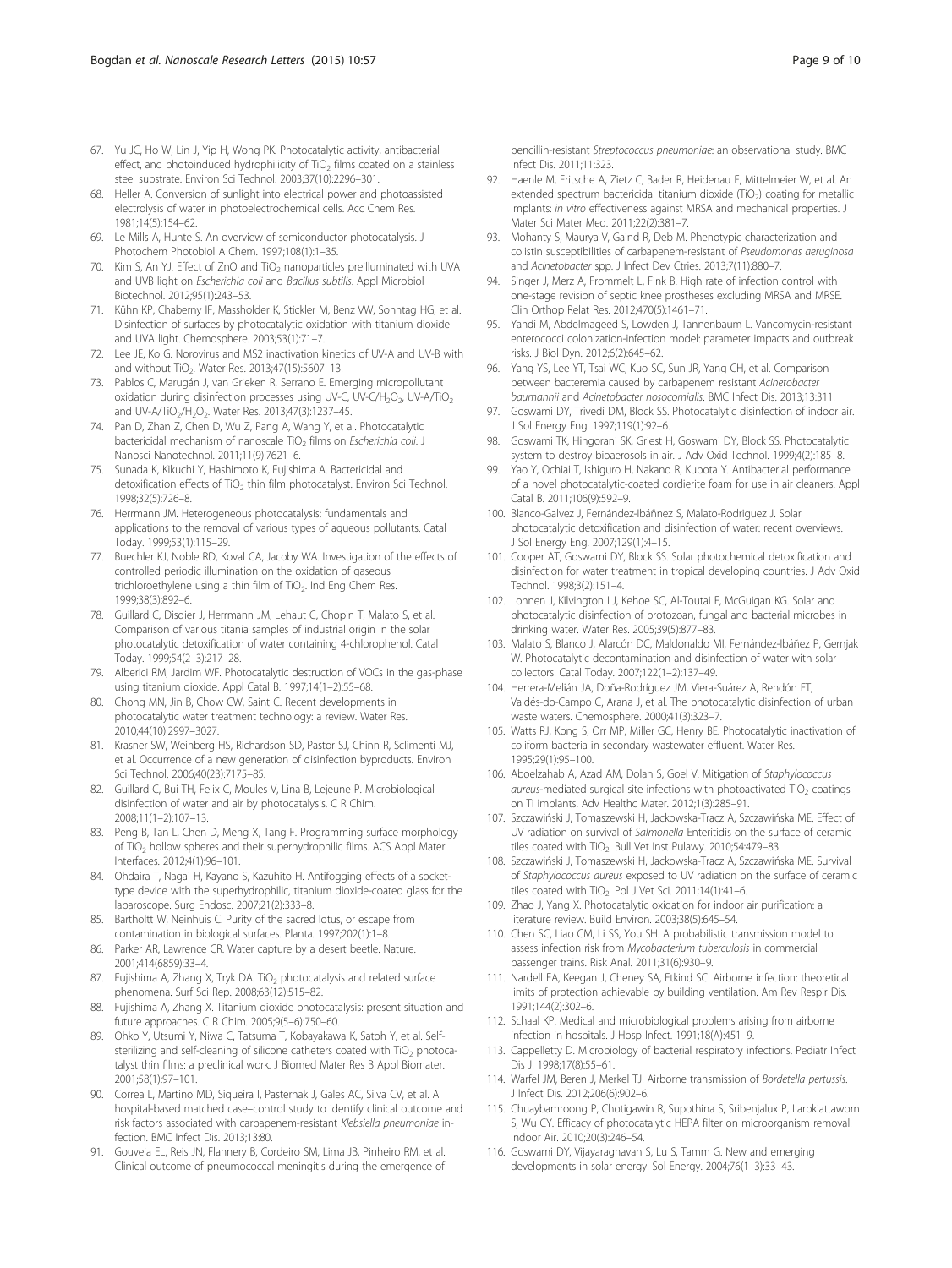- <span id="page-8-0"></span>67. Yu JC, Ho W, Lin J, Yip H, Wong PK. Photocatalytic activity, antibacterial effect, and photoinduced hydrophilicity of  $TiO<sub>2</sub>$  films coated on a stainless steel substrate. Environ Sci Technol. 2003;37(10):2296–301.
- 68. Heller A. Conversion of sunlight into electrical power and photoassisted electrolysis of water in photoelectrochemical cells. Acc Chem Res. 1981;14(5):154–62.
- 69. Le Mills A, Hunte S. An overview of semiconductor photocatalysis. J Photochem Photobiol A Chem. 1997;108(1):1–35.
- 70. Kim S, An YJ. Effect of ZnO and TiO<sub>2</sub> nanoparticles preilluminated with UVA and UVB light on Escherichia coli and Bacillus subtilis. Appl Microbiol Biotechnol. 2012;95(1):243–53.
- 71. Kühn KP, Chaberny IF, Massholder K, Stickler M, Benz VW, Sonntag HG, et al. Disinfection of surfaces by photocatalytic oxidation with titanium dioxide and UVA light. Chemosphere. 2003;53(1):71–7.
- 72. Lee JE, Ko G. Norovirus and MS2 inactivation kinetics of UV-A and UV-B with and without  $TiO<sub>2</sub>$ . Water Res. 2013;47(15):5607-13.
- 73. Pablos C, Marugán J, van Grieken R, Serrano E. Emerging micropollutant oxidation during disinfection processes using UV-C, UV-C/H<sub>2</sub>O<sub>2</sub>, UV-A/TiO<sub>2</sub> and UV-A/TiO<sub>2</sub>/H<sub>2</sub>O<sub>2</sub>. Water Res. 2013;47(3):1237-45.
- 74. Pan D, Zhan Z, Chen D, Wu Z, Pang A, Wang Y, et al. Photocatalytic bactericidal mechanism of nanoscale TiO<sub>2</sub> films on *Escherichia coli*. J Nanosci Nanotechnol. 2011;11(9):7621–6.
- 75. Sunada K, Kikuchi Y, Hashimoto K, Fujishima A. Bactericidal and detoxification effects of TiO<sub>2</sub> thin film photocatalyst. Environ Sci Technol. 1998;32(5):726–8.
- 76. Herrmann JM. Heterogeneous photocatalysis: fundamentals and applications to the removal of various types of aqueous pollutants. Catal Today. 1999;53(1):115–29.
- 77. Buechler KJ, Noble RD, Koval CA, Jacoby WA. Investigation of the effects of controlled periodic illumination on the oxidation of gaseous trichloroethylene using a thin film of TiO<sub>2</sub>. Ind Eng Chem Res. 1999;38(3):892–6.
- 78. Guillard C, Disdier J, Herrmann JM, Lehaut C, Chopin T, Malato S, et al. Comparison of various titania samples of industrial origin in the solar photocatalytic detoxification of water containing 4-chlorophenol. Catal Today. 1999;54(2–3):217–28.
- 79. Alberici RM, Jardim WF. Photocatalytic destruction of VOCs in the gas-phase using titanium dioxide. Appl Catal B. 1997;14(1–2):55–68.
- 80. Chong MN, Jin B, Chow CW, Saint C. Recent developments in photocatalytic water treatment technology: a review. Water Res. 2010;44(10):2997–3027.
- 81. Krasner SW, Weinberg HS, Richardson SD, Pastor SJ, Chinn R, Sclimenti MJ, et al. Occurrence of a new generation of disinfection byproducts. Environ Sci Technol. 2006;40(23):7175–85.
- 82. Guillard C, Bui TH, Felix C, Moules V, Lina B, Lejeune P. Microbiological disinfection of water and air by photocatalysis. C R Chim. 2008;11(1–2):107–13.
- 83. Peng B, Tan L, Chen D, Meng X, Tang F. Programming surface morphology of TiO2 hollow spheres and their superhydrophilic films. ACS Appl Mater Interfaces. 2012;4(1):96–101.
- 84. Ohdaira T, Nagai H, Kayano S, Kazuhito H. Antifogging effects of a sockettype device with the superhydrophilic, titanium dioxide-coated glass for the laparoscope. Surg Endosc. 2007;21(2):333–8.
- 85. Bartholtt W, Neinhuis C. Purity of the sacred lotus, or escape from contamination in biological surfaces. Planta. 1997;202(1):1–8.
- 86. Parker AR, Lawrence CR. Water capture by a desert beetle. Nature. 2001;414(6859):33–4.
- 87. Fujishima A, Zhang X, Tryk DA. TiO<sub>2</sub> photocatalysis and related surface phenomena. Surf Sci Rep. 2008;63(12):515–82.
- 88. Fujishima A, Zhang X. Titanium dioxide photocatalysis: present situation and future approaches. C R Chim. 2005;9(5–6):750–60.
- 89. Ohko Y, Utsumi Y, Niwa C, Tatsuma T, Kobayakawa K, Satoh Y, et al. Selfsterilizing and self-cleaning of silicone catheters coated with TiO<sub>2</sub> photocatalyst thin films: a preclinical work. J Biomed Mater Res B Appl Biomater. 2001;58(1):97–101.
- 90. Correa L, Martino MD, Siqueira I, Pasternak J, Gales AC, Silva CV, et al. A hospital-based matched case–control study to identify clinical outcome and risk factors associated with carbapenem-resistant Klebsiella pneumoniae infection. BMC Infect Dis. 2013;13:80.
- 91. Gouveia EL, Reis JN, Flannery B, Cordeiro SM, Lima JB, Pinheiro RM, et al. Clinical outcome of pneumococcal meningitis during the emergence of

pencillin-resistant Streptococcus pneumoniae: an observational study. BMC Infect Dis. 2011;11:323.

- 92. Haenle M, Fritsche A, Zietz C, Bader R, Heidenau F, Mittelmeier W, et al. An extended spectrum bactericidal titanium dioxide (TiO<sub>2</sub>) coating for metallic implants: in vitro effectiveness against MRSA and mechanical properties. J Mater Sci Mater Med. 2011;22(2):381–7.
- 93. Mohanty S, Maurya V, Gaind R, Deb M. Phenotypic characterization and colistin susceptibilities of carbapenem-resistant of Pseudomonas aeruginosa and Acinetobacter spp. J Infect Dev Ctries. 2013;7(11):880–7.
- 94. Singer J, Merz A, Frommelt L, Fink B. High rate of infection control with one-stage revision of septic knee prostheses excluding MRSA and MRSE. Clin Orthop Relat Res. 2012;470(5):1461–71.
- 95. Yahdi M, Abdelmageed S, Lowden J, Tannenbaum L. Vancomycin-resistant enterococci colonization-infection model: parameter impacts and outbreak risks. J Biol Dyn. 2012;6(2):645–62.
- 96. Yang YS, Lee YT, Tsai WC, Kuo SC, Sun JR, Yang CH, et al. Comparison between bacteremia caused by carbapenem resistant Acinetobacter baumannii and Acinetobacter nosocomialis. BMC Infect Dis. 2013;13:311.
- 97. Goswami DY, Trivedi DM, Block SS. Photocatalytic disinfection of indoor air. J Sol Energy Eng. 1997;119(1):92–6.
- 98. Goswami TK, Hingorani SK, Griest H, Goswami DY, Block SS. Photocatalytic system to destroy bioaerosols in air. J Adv Oxid Technol. 1999;4(2):185–8.
- 99. Yao Y, Ochiai T, Ishiguro H, Nakano R, Kubota Y. Antibacterial performance of a novel photocatalytic-coated cordierite foam for use in air cleaners. Appl Catal B. 2011;106(9):592–9.
- 100. Blanco-Galvez J, Fernández-Ibáñnez S, Malato-Rodriguez J. Solar photocatalytic detoxification and disinfection of water: recent overviews. J Sol Energy Eng. 2007;129(1):4–15.
- 101. Cooper AT, Goswami DY, Block SS. Solar photochemical detoxification and disinfection for water treatment in tropical developing countries. J Adv Oxid Technol. 1998;3(2):151–4.
- 102. Lonnen J, Kilvington LJ, Kehoe SC, Al-Toutai F, McGuigan KG. Solar and photocatalytic disinfection of protozoan, fungal and bacterial microbes in drinking water. Water Res. 2005;39(5):877–83.
- 103. Malato S, Blanco J, Alarcón DC, Maldonaldo MI, Fernández-Ibáñez P, Gernjak W. Photocatalytic decontamination and disinfection of water with solar collectors. Catal Today. 2007;122(1–2):137–49.
- 104. Herrera-Melián JA, Doña-Rodríguez JM, Viera-Suárez A, Rendón ET, Valdés-do-Campo C, Arana J, et al. The photocatalytic disinfection of urban waste waters. Chemosphere. 2000;41(3):323–7.
- 105. Watts RJ, Kong S, Orr MP, Miller GC, Henry BE. Photocatalytic inactivation of coliform bacteria in secondary wastewater effluent. Water Res. 1995;29(1):95–100.
- 106. Aboelzahab A, Azad AM, Dolan S, Goel V. Mitigation of Staphylococcus  $a$ ureus-mediated surgical site infections with photoactivated  $TiO<sub>2</sub>$  coatings on Ti implants. Adv Healthc Mater. 2012;1(3):285–91.
- 107. Szczawiński J, Tomaszewski H, Jackowska-Tracz A, Szczawińska ME. Effect of UV radiation on survival of Salmonella Enteritidis on the surface of ceramic tiles coated with TiO<sub>2</sub>. Bull Vet Inst Pulawy. 2010;54:479-83.
- 108. Szczawiński J, Tomaszewski H, Jackowska-Tracz A, Szczawińska ME. Survival of Staphylococcus aureus exposed to UV radiation on the surface of ceramic tiles coated with  $TiO<sub>2</sub>$ . Pol J Vet Sci. 2011;14(1):41-6
- 109. Zhao J, Yang X. Photocatalytic oxidation for indoor air purification: a literature review. Build Environ. 2003;38(5):645–54.
- 110. Chen SC, Liao CM, Li SS, You SH. A probabilistic transmission model to assess infection risk from Mycobacterium tuberculosis in commercial passenger trains. Risk Anal. 2011;31(6):930–9.
- 111. Nardell EA, Keegan J, Cheney SA, Etkind SC. Airborne infection: theoretical limits of protection achievable by building ventilation. Am Rev Respir Dis. 1991;144(2):302–6.
- 112. Schaal KP. Medical and microbiological problems arising from airborne infection in hospitals. J Hosp Infect. 1991;18(A):451–9.
- 113. Cappelletty D. Microbiology of bacterial respiratory infections. Pediatr Infect Dis J. 1998;17(8):55–61.
- 114. Warfel JM, Beren J, Merkel TJ. Airborne transmission of Bordetella pertussis. J Infect Dis. 2012;206(6):902–6.
- 115. Chuaybamroong P, Chotigawin R, Supothina S, Sribenjalux P, Larpkiattaworn S, Wu CY. Efficacy of photocatalytic HEPA filter on microorganism removal. Indoor Air. 2010;20(3):246–54.
- 116. Goswami DY, Vijayaraghavan S, Lu S, Tamm G. New and emerging developments in solar energy. Sol Energy. 2004;76(1–3):33–43.